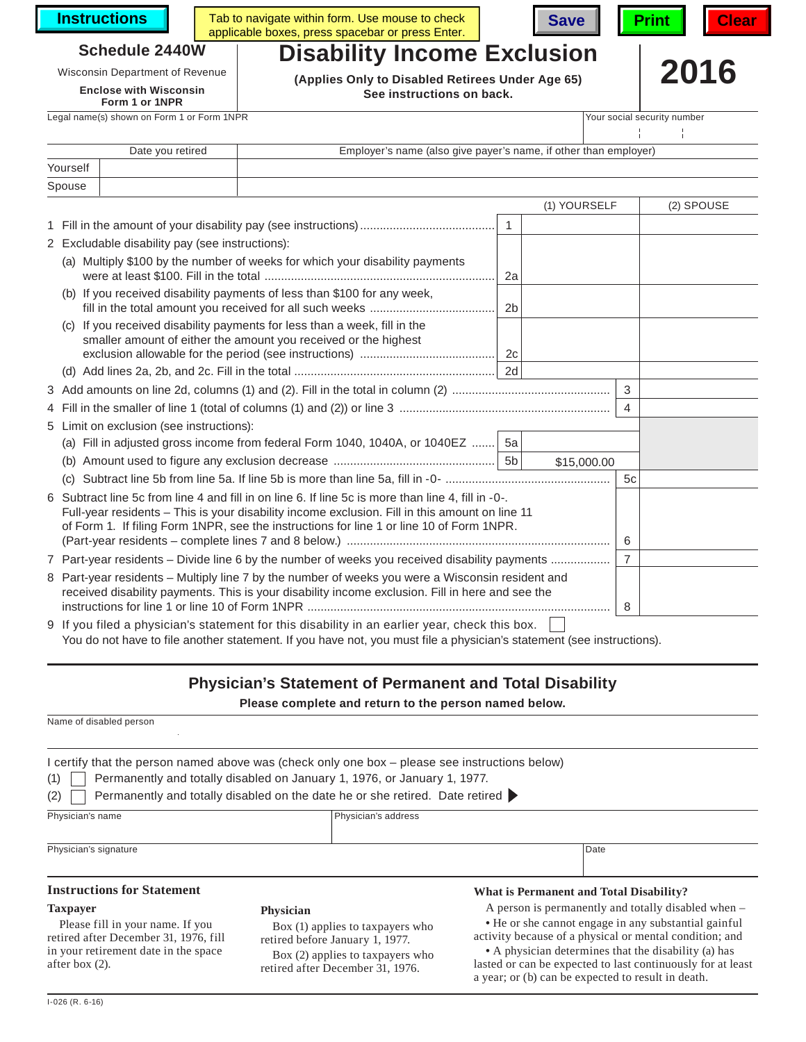**Instructions** Table

| Tab to navigate within form. Use mouse to check  | Save   Print   Clear |  |  |  |
|--------------------------------------------------|----------------------|--|--|--|
| applicable boxes, press spacebar or press Enter. |                      |  |  |  |



lasted or can be expected to last continuously for at least

a year; or (b) can be expected to result in death.



#### **Schedule 2440W Disability Income Exclusion**

**Enclose with Wisconsin Form 1 or 1NPR**

#### Legal name(s) shown on Form 1 or Form 1NPR Your social security number

Wisconsin Department of Revenue **2016**<br> **Enclose with Wisconsin** (Applies Only to Disabled Retirees Under Age 65) **2016 See instructions on back.**

| 2016<br>D |
|-----------|
|           |

|          | Date you retired | Employer's name (also give payer's name, if other than employer) |  |
|----------|------------------|------------------------------------------------------------------|--|
| Yourself |                  |                                                                  |  |
| Spouse   |                  |                                                                  |  |

|                                                                                                                                                                                                                                                                                                  |                                                                                                                                                 |                | (1) YOURSELF |                | (2) SPOUSE |
|--------------------------------------------------------------------------------------------------------------------------------------------------------------------------------------------------------------------------------------------------------------------------------------------------|-------------------------------------------------------------------------------------------------------------------------------------------------|----------------|--------------|----------------|------------|
|                                                                                                                                                                                                                                                                                                  |                                                                                                                                                 | $\overline{1}$ |              |                |            |
|                                                                                                                                                                                                                                                                                                  | 2 Excludable disability pay (see instructions):                                                                                                 |                |              |                |            |
|                                                                                                                                                                                                                                                                                                  | Multiply \$100 by the number of weeks for which your disability payments<br>(a)                                                                 | 2a             |              |                |            |
|                                                                                                                                                                                                                                                                                                  | (b) If you received disability payments of less than \$100 for any week,                                                                        | 2 <sub>b</sub> |              |                |            |
|                                                                                                                                                                                                                                                                                                  | If you received disability payments for less than a week, fill in the<br>(C)<br>smaller amount of either the amount you received or the highest | 2c             |              |                |            |
|                                                                                                                                                                                                                                                                                                  | (d)                                                                                                                                             |                |              |                |            |
|                                                                                                                                                                                                                                                                                                  |                                                                                                                                                 |                |              | 3              |            |
|                                                                                                                                                                                                                                                                                                  |                                                                                                                                                 |                |              | $\overline{4}$ |            |
| 5 Limit on exclusion (see instructions):                                                                                                                                                                                                                                                         |                                                                                                                                                 |                |              |                |            |
|                                                                                                                                                                                                                                                                                                  | Fill in adjusted gross income from federal Form 1040, 1040A, or 1040EZ  5a<br>(a)                                                               |                |              |                |            |
|                                                                                                                                                                                                                                                                                                  | (b)                                                                                                                                             |                | \$15,000.00  |                |            |
|                                                                                                                                                                                                                                                                                                  | (c)                                                                                                                                             |                |              | 5c             |            |
| 6 Subtract line 5c from line 4 and fill in on line 6. If line 5c is more than line 4, fill in -0-.<br>Full-year residents - This is your disability income exclusion. Fill in this amount on line 11<br>of Form 1. If filing Form 1NPR, see the instructions for line 1 or line 10 of Form 1NPR. |                                                                                                                                                 |                |              |                |            |
| 7 Part-year residents – Divide line 6 by the number of weeks you received disability payments                                                                                                                                                                                                    |                                                                                                                                                 |                |              |                |            |
| 8 Part-year residents - Multiply line 7 by the number of weeks you were a Wisconsin resident and<br>received disability payments. This is your disability income exclusion. Fill in here and see the                                                                                             |                                                                                                                                                 |                |              |                |            |
|                                                                                                                                                                                                                                                                                                  | 9 If you filed a physician's statement for this disability in an earlier year, check this box.                                                  |                |              |                |            |

You do not have to file another statement. If you have not, you must file a physician's statement (see instructions).

retired after December 31, 1976.

## **Physician's Statement of Permanent and Total Disability**

**Please complete and return to the person named below.**

| Name of disabled person                                                                                                                                     |                                                                                                                                                                                                                                                            |                                                                                                                                                                                                                                                                                                                       |  |  |
|-------------------------------------------------------------------------------------------------------------------------------------------------------------|------------------------------------------------------------------------------------------------------------------------------------------------------------------------------------------------------------------------------------------------------------|-----------------------------------------------------------------------------------------------------------------------------------------------------------------------------------------------------------------------------------------------------------------------------------------------------------------------|--|--|
| (1)<br>(2)                                                                                                                                                  | I certify that the person named above was (check only one box - please see instructions below)<br>Permanently and totally disabled on January 1, 1976, or January 1, 1977.<br>Permanently and totally disabled on the date he or she retired. Date retired |                                                                                                                                                                                                                                                                                                                       |  |  |
| Physician's name                                                                                                                                            | Physician's address                                                                                                                                                                                                                                        |                                                                                                                                                                                                                                                                                                                       |  |  |
| Physician's signature                                                                                                                                       |                                                                                                                                                                                                                                                            | Date                                                                                                                                                                                                                                                                                                                  |  |  |
| <b>Instructions for Statement</b>                                                                                                                           |                                                                                                                                                                                                                                                            | What is Permanent and Total Disability?                                                                                                                                                                                                                                                                               |  |  |
| <b>Taxpayer</b><br>Please fill in your name. If you<br>retired after December 31, 1976, fill<br>in your retirement date in the space<br>$a$ fton have $(2)$ | <b>Physician</b><br>Box (1) applies to taxpayers who<br>retired before January 1, 1977.<br>Box (2) applies to taxpayers who                                                                                                                                | A person is permanently and totally disabled when –<br>• He or she cannot engage in any substantial gainful<br>activity because of a physical or mental condition; and<br>• A physician determines that the disability (a) has<br>to see the second the component that the construction the Competition of the second |  |  |

I-026 (R. 6-16)

after box (2).